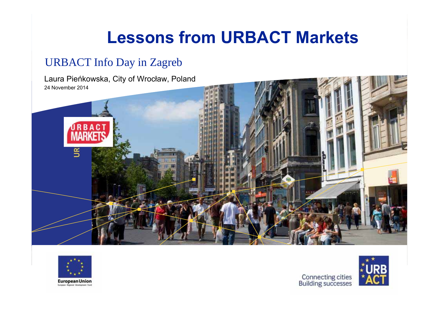## **Lessons from URBACT Markets**

#### URBACT Info Day in Zagreb

Laura Pie ńkowska, City of Wrocław, Poland 24 November 2014





**European Union** 



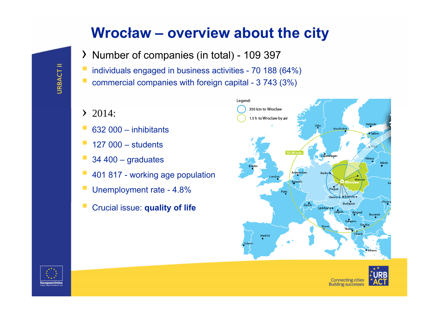#### **Wrocław – overview about the city**

- › Number of companies (in total) 109 397
- individuals engaged in business activities 70 188 (64%)
- commercial companies with foreign capital 3 743 (3%)
- $\geq 2014$ :
- 632 000 inhibitants
- 127 000 students
- 34 400 graduates
- 401 817 working age population
- Unemployment rate 4.8%
- Crucial issue: **quality of life**





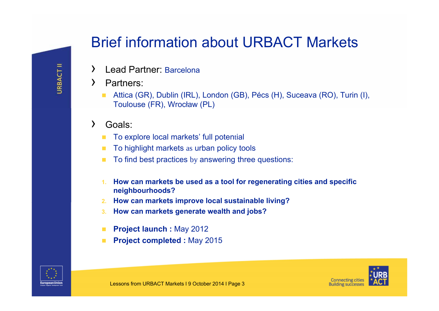### Brief information about URBACT Markets

- ›Lead Partner: Barcelona
- › Partners:
	- Attica (GR), Dublin (IRL), London (GB), Pécs (H), Suceava (RO), Turin (I), Toulouse (FR), Wrocław (PL)
- › Goals:
	- $\mathcal{L}_{\mathcal{A}}$ To explore local markets' full potential
	- $\blacksquare$ To highlight markets as urban policy tools
	- n To find best practices by answering three questions:
	- **1. How can markets be used as a tool for regenerating cities and specific neighbourhoods?**
	- **2. How can markets improve local sustainable living?**
	- **3.How can markets generate wealth and jobs?**
	- **Project launch :** May 2012
	- **Project completed :** May 2015



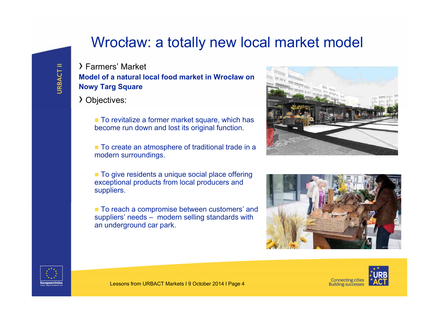#### Wroc ław: a totally new local market model

› Farmers' Market **Model of a natural local food market in Wrocław on Nowy Targ Square**

› Objectives:

■ To revitalize a former market square, which has become run down and lost its original function.

■ To create an atmosphere of traditional trade in a modern surroundings.

**To give residents a unique social place offering** exceptional products from local producers and suppliers.

■ To reach a compromise between customers' and suppliers' needs – modern selling standards with an underground car park.







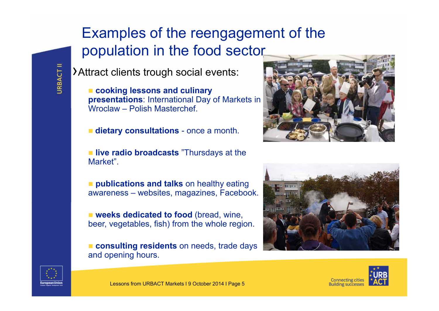## Examples of the reengagement of the population in the food sector

›Attract clients trough social events:

 **cooking lessons and culinary presentations**: International Day of Markets in Wroclaw – Polish Masterchef.

**dietary consultations** - once a month.

**If live radio broadcasts** "Thursdays at the Market".

**publications and talks** on healthy eating awareness – websites, magazines, Facebook.

**Example 3 weeks dedicated to food** (bread, wine, beer, vegetables, fish) from the whole region.

**consulting residents** on needs, trade days and opening hours.









**URBACT II**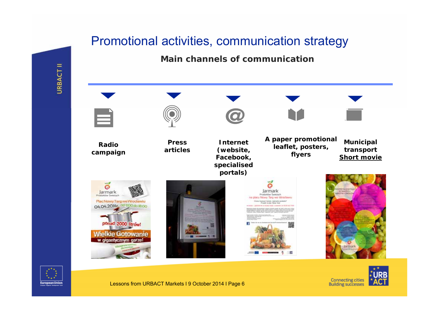#### Promotional activities, communication strategy

#### **Main channels of communication**